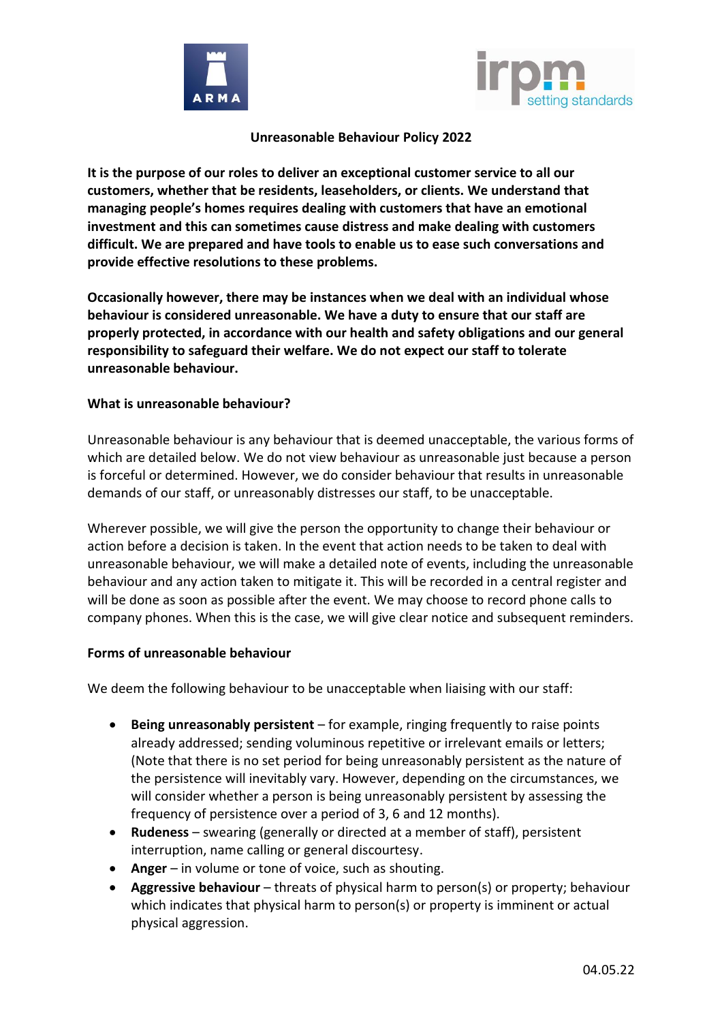



## **Unreasonable Behaviour Policy 2022**

**It is the purpose of our roles to deliver an exceptional customer service to all our customers, whether that be residents, leaseholders, or clients. We understand that managing people's homes requires dealing with customers that have an emotional investment and this can sometimes cause distress and make dealing with customers difficult. We are prepared and have tools to enable us to ease such conversations and provide effective resolutions to these problems.**

**Occasionally however, there may be instances when we deal with an individual whose behaviour is considered unreasonable. We have a duty to ensure that our staff are properly protected, in accordance with our health and safety obligations and our general responsibility to safeguard their welfare. We do not expect our staff to tolerate unreasonable behaviour.**

## **What is unreasonable behaviour?**

Unreasonable behaviour is any behaviour that is deemed unacceptable, the various forms of which are detailed below. We do not view behaviour as unreasonable just because a person is forceful or determined. However, we do consider behaviour that results in unreasonable demands of our staff, or unreasonably distresses our staff, to be unacceptable.

Wherever possible, we will give the person the opportunity to change their behaviour or action before a decision is taken. In the event that action needs to be taken to deal with unreasonable behaviour, we will make a detailed note of events, including the unreasonable behaviour and any action taken to mitigate it. This will be recorded in a central register and will be done as soon as possible after the event. We may choose to record phone calls to company phones. When this is the case, we will give clear notice and subsequent reminders.

## **Forms of unreasonable behaviour**

We deem the following behaviour to be unacceptable when liaising with our staff:

- **Being unreasonably persistent** for example, ringing frequently to raise points already addressed; sending voluminous repetitive or irrelevant emails or letters; (Note that there is no set period for being unreasonably persistent as the nature of the persistence will inevitably vary. However, depending on the circumstances, we will consider whether a person is being unreasonably persistent by assessing the frequency of persistence over a period of 3, 6 and 12 months).
- **Rudeness** swearing (generally or directed at a member of staff), persistent interruption, name calling or general discourtesy.
- **Anger** in volume or tone of voice, such as shouting.
- Aggressive behaviour threats of physical harm to person(s) or property; behaviour which indicates that physical harm to person(s) or property is imminent or actual physical aggression.